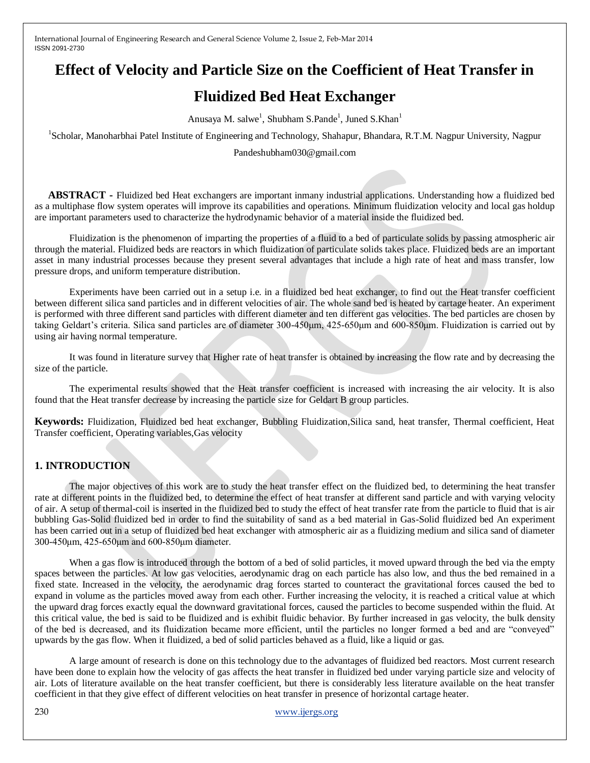## **Effect of Velocity and Particle Size on the Coefficient of Heat Transfer in**

# **Fluidized Bed Heat Exchanger**

Anusaya M. salwe<sup>1</sup>, Shubham S.Pande<sup>1</sup>, Juned S.Khan<sup>1</sup>

<sup>1</sup>Scholar, Manoharbhai Patel Institute of Engineering and Technology, Shahapur, Bhandara, R.T.M. Nagpur University, Nagpur

Pandeshubham030@gmail.com

 **ABSTRACT -** Fluidized bed Heat exchangers are important inmany industrial applications. Understanding how a fluidized bed as a multiphase flow system operates will improve its capabilities and operations. Minimum fluidization velocity and local gas holdup are important parameters used to characterize the hydrodynamic behavior of a material inside the fluidized bed.

Fluidization is the phenomenon of imparting the properties of a fluid to a bed of particulate solids by passing atmospheric air through the material. Fluidized beds are reactors in which fluidization of particulate solids takes place. Fluidized beds are an important asset in many industrial processes because they present several advantages that include a high rate of heat and mass transfer, low pressure drops, and uniform temperature distribution.

Experiments have been carried out in a setup i.e. in a fluidized bed heat exchanger, to find out the Heat transfer coefficient between different silica sand particles and in different velocities of air. The whole sand bed is heated by cartage heater. An experiment is performed with three different sand particles with different diameter and ten different gas velocities. The bed particles are chosen by taking Geldart's criteria. Silica sand particles are of diameter 300-450μm, 425-650μm and 600-850μm. Fluidization is carried out by using air having normal temperature.

It was found in literature survey that Higher rate of heat transfer is obtained by increasing the flow rate and by decreasing the size of the particle.

The experimental results showed that the Heat transfer coefficient is increased with increasing the air velocity. It is also found that the Heat transfer decrease by increasing the particle size for Geldart B group particles.

**Keywords:** Fluidization, Fluidized bed heat exchanger, Bubbling Fluidization,Silica sand, heat transfer, Thermal coefficient, Heat Transfer coefficient, Operating variables,Gas velocity

## **1. INTRODUCTION**

The major objectives of this work are to study the heat transfer effect on the fluidized bed, to determining the heat transfer rate at different points in the fluidized bed, to determine the effect of heat transfer at different sand particle and with varying velocity of air. A setup of thermal-coil is inserted in the fluidized bed to study the effect of heat transfer rate from the particle to fluid that is air bubbling Gas-Solid fluidized bed in order to find the suitability of sand as a bed material in Gas-Solid fluidized bed An experiment has been carried out in a setup of fluidized bed heat exchanger with atmospheric air as a fluidizing medium and silica sand of diameter 300-450μm, 425-650μm and 600-850μm diameter.

When a gas flow is introduced through the bottom of a bed of solid particles, it moved upward through the bed via the empty spaces between the particles. At low gas velocities, aerodynamic drag on each particle has also low, and thus the bed remained in a fixed state. Increased in the velocity, the aerodynamic drag forces started to counteract the gravitational forces caused the bed to expand in volume as the particles moved away from each other. Further increasing the velocity, it is reached a critical value at which the upward drag forces exactly equal the downward gravitational forces, caused the particles to become suspended within the fluid. At this critical value, the bed is said to be fluidized and is exhibit fluidic behavior. By further increased in gas velocity, the bulk density of the bed is decreased, and its fluidization became more efficient, until the particles no longer formed a bed and are "conveyed" upwards by the gas flow. When it fluidized, a bed of solid particles behaved as a fluid, like a liquid or gas.

A large amount of research is done on this technology due to the advantages of fluidized bed reactors. Most current research have been done to explain how the velocity of gas affects the heat transfer in fluidized bed under varying particle size and velocity of air. Lots of literature available on the heat transfer coefficient, but there is considerably less literature available on the heat transfer coefficient in that they give effect of different velocities on heat transfer in presence of horizontal cartage heater.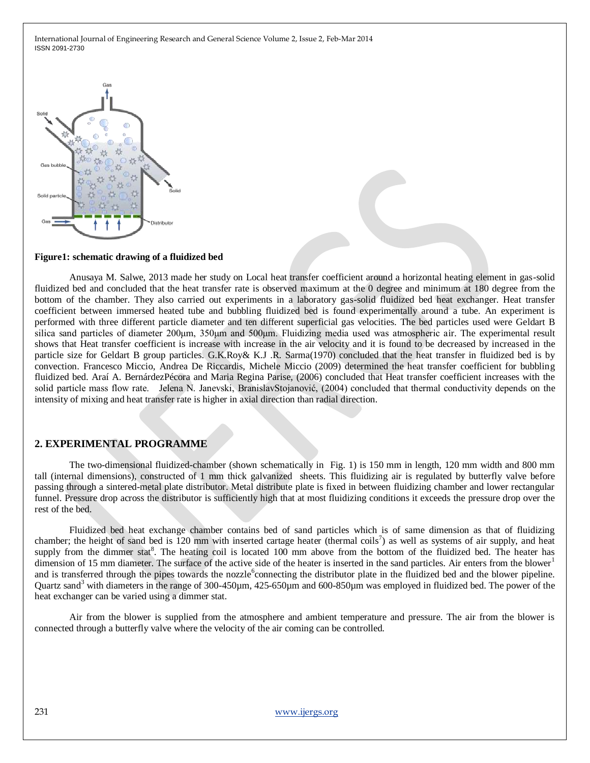

#### **Figure1: schematic drawing of a fluidized bed**

Anusaya M. Salwe, 2013 made her study on Local heat transfer coefficient around a horizontal heating element in gas-solid fluidized bed and concluded that the heat transfer rate is observed maximum at the 0 degree and minimum at 180 degree from the bottom of the chamber. They also carried out experiments in a laboratory gas-solid fluidized bed heat exchanger. Heat transfer coefficient between immersed heated tube and bubbling fluidized bed is found experimentally around a tube. An experiment is performed with three different particle diameter and ten different superficial gas velocities. The bed particles used were Geldart B silica sand particles of diameter 200<sub>um</sub>, 350<sub>um</sub> and 500<sub>um</sub>. Fluidizing media used was atmospheric air. The experimental result shows that Heat transfer coefficient is increase with increase in the air velocity and it is found to be decreased by increased in the particle size for Geldart B group particles. G.K.Roy& K.J .R. Sarma(1970) concluded that the heat transfer in fluidized bed is by convection. Francesco Miccio, Andrea De Riccardis, Michele Miccio (2009) determined the heat transfer coefficient for bubbling fluidized bed. Araí A. BernárdezPécora and Maria Regina Parise, (2006) concluded that Heat transfer coefficient increases with the solid particle mass flow rate. Jelena N. Janevski, BranislavStojanović, (2004) concluded that thermal conductivity depends on the intensity of mixing and heat transfer rate is higher in axial direction than radial direction.

#### **2. EXPERIMENTAL PROGRAMME**

The two-dimensional fluidized-chamber (shown schematically in Fig. 1) is 150 mm in length, 120 mm width and 800 mm tall (internal dimensions), constructed of 1 mm thick galvanized sheets. This fluidizing air is regulated by butterfly valve before passing through a sintered-metal plate distributor. Metal distribute plate is fixed in between fluidizing chamber and lower rectangular funnel. Pressure drop across the distributor is sufficiently high that at most fluidizing conditions it exceeds the pressure drop over the rest of the bed.

Fluidized bed heat exchange chamber contains bed of sand particles which is of same dimension as that of fluidizing chamber; the height of sand bed is 120 mm with inserted cartage heater (thermal coils<sup>7</sup>) as well as systems of air supply, and heat supply from the dimmer stat<sup>8</sup>. The heating coil is located 100 mm above from the bottom of the fluidized bed. The heater has dimension of 15 mm diameter. The surface of the active side of the heater is inserted in the sand particles. Air enters from the blower<sup>1</sup> and is transferred through the pipes towards the nozzle<sup>6</sup> connecting the distributor plate in the fluidized bed and the blower pipeline. Quartz sand<sup>3</sup> with diameters in the range of 300-450µm, 425-650µm and 600-850µm was employed in fluidized bed. The power of the heat exchanger can be varied using a dimmer stat.

Air from the blower is supplied from the atmosphere and ambient temperature and pressure. The air from the blower is connected through a butterfly valve where the velocity of the air coming can be controlled.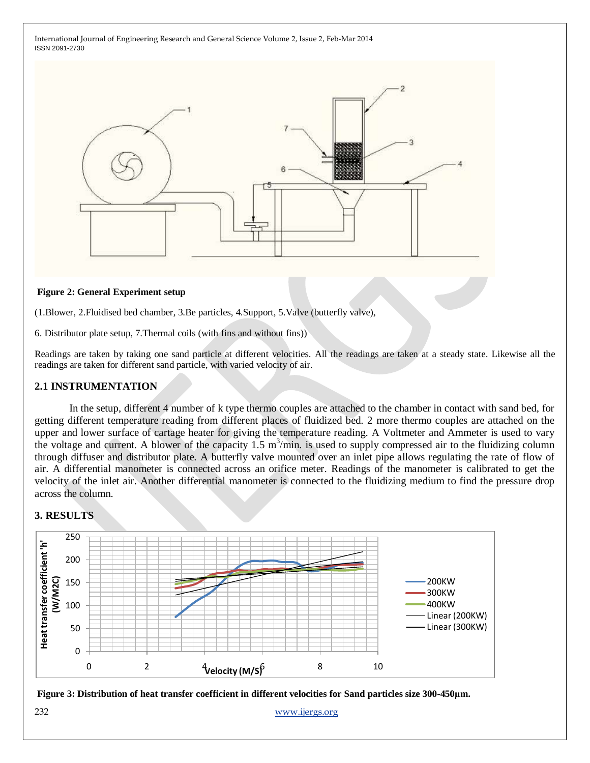

### **Figure 2: General Experiment setup**

(1.Blower, 2.Fluidised bed chamber, 3.Be particles, 4.Support, 5.Valve (butterfly valve),

6. Distributor plate setup, 7.Thermal coils (with fins and without fins))

Readings are taken by taking one sand particle at different velocities. All the readings are taken at a steady state. Likewise all the readings are taken for different sand particle, with varied velocity of air.

### **2.1 INSTRUMENTATION**

In the setup, different 4 number of k type thermo couples are attached to the chamber in contact with sand bed, for getting different temperature reading from different places of fluidized bed. 2 more thermo couples are attached on the upper and lower surface of cartage heater for giving the temperature reading. A Voltmeter and Ammeter is used to vary the voltage and current. A blower of the capacity  $1.5 \text{ m}^3/\text{min}$  is used to supply compressed air to the fluidizing column through diffuser and distributor plate. A butterfly valve mounted over an inlet pipe allows regulating the rate of flow of air. A differential manometer is connected across an orifice meter. Readings of the manometer is calibrated to get the velocity of the inlet air. Another differential manometer is connected to the fluidizing medium to find the pressure drop across the column.

### **3. RESULTS**





232 [www.ijergs.org](http://www.ijergs.org/)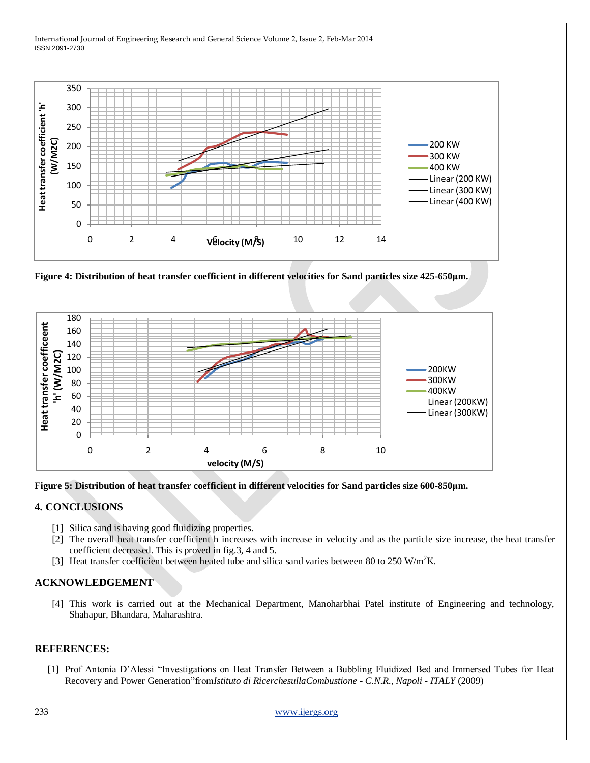



**Figure 4: Distribution of heat transfer coefficient in different velocities for Sand particles size 425-650μm.**





## **4. CONCLUSIONS**

- [1] Silica sand is having good fluidizing properties.
- [2] The overall heat transfer coefficient h increases with increase in velocity and as the particle size increase, the heat transfer coefficient decreased. This is proved in fig.3, 4 and 5.
- [3] Heat transfer coefficient between heated tube and silica sand varies between 80 to 250 W/m<sup>2</sup>K.

## **ACKNOWLEDGEMENT**

[4] This work is carried out at the Mechanical Department, Manoharbhai Patel institute of Engineering and technology, Shahapur, Bhandara, Maharashtra.

### **REFERENCES:**

[1] Prof Antonia D'Alessi "Investigations on Heat Transfer Between a Bubbling Fluidized Bed and Immersed Tubes for Heat Recovery and Power Generation"from*Istituto di RicerchesullaCombustione - C.N.R., Napoli - ITALY* (2009)